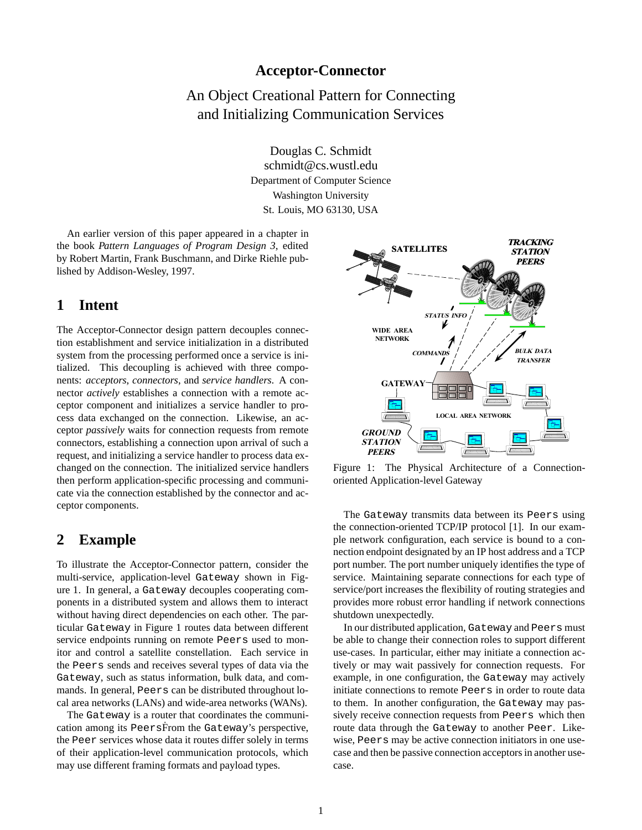### **Acceptor-Connector**

# An Object Creational Pattern for Connecting and Initializing Communication Services

Douglas C. Schmidt schmidt@cs.wustl.edu Department of Computer Science Washington University St. Louis, MO 63130, USA

An earlier version of this paper appeared in a chapter in the book *Pattern Languages of Program Design 3*, edited by Robert Martin, Frank Buschmann, and Dirke Riehle published by Addison-Wesley, 1997.

### **1 Intent**

The Acceptor-Connector design pattern decouples connection establishment and service initialization in a distributed system from the processing performed once a service is initialized. This decoupling is achieved with three components: *acceptors*, *connectors*, and *service handlers*. A connector *actively* establishes a connection with a remote acceptor component and initializes a service handler to process data exchanged on the connection. Likewise, an acceptor *passively* waits for connection requests from remote connectors, establishing a connection upon arrival of such a request, and initializing a service handler to process data exchanged on the connection. The initialized service handlers then perform application-specific processing and communicate via the connection established by the connector and acceptor components.

### **2 Example**

To illustrate the Acceptor-Connector pattern, consider the multi-service, application-level Gateway shown in Figure 1. In general, a Gateway decouples cooperating components in a distributed system and allows them to interact without having direct dependencies on each other. The particular Gateway in Figure 1 routes data between different service endpoints running on remote Peers used to monitor and control a satellite constellation. Each service in the Peers sends and receives several types of data via the Gateway, such as status information, bulk data, and commands. In general, Peers can be distributed throughout local area networks (LANs) and wide-area networks (WANs).

The Gateway is a router that coordinates the communication among its PeersFrom the Gateway's perspective, the Peer services whose data it routes differ solely in terms of their application-level communication protocols, which may use different framing formats and payload types.



Figure 1: The Physical Architecture of a Connectionoriented Application-level Gateway

The Gateway transmits data between its Peers using the connection-oriented TCP/IP protocol [1]. In our example network configuration, each service is bound to a connection endpoint designated by an IP host address and a TCP port number. The port number uniquely identifies the type of service. Maintaining separate connections for each type of service/port increases the flexibility of routing strategies and provides more robust error handling if network connections shutdown unexpectedly.

In our distributed application, Gateway and Peers must be able to change their connection roles to support different use-cases. In particular, either may initiate a connection actively or may wait passively for connection requests. For example, in one configuration, the Gateway may actively initiate connections to remote Peers in order to route data to them. In another configuration, the Gateway may passively receive connection requests from Peers which then route data through the Gateway to another Peer. Likewise, Peers may be active connection initiators in one usecase and then be passive connection acceptors in another usecase.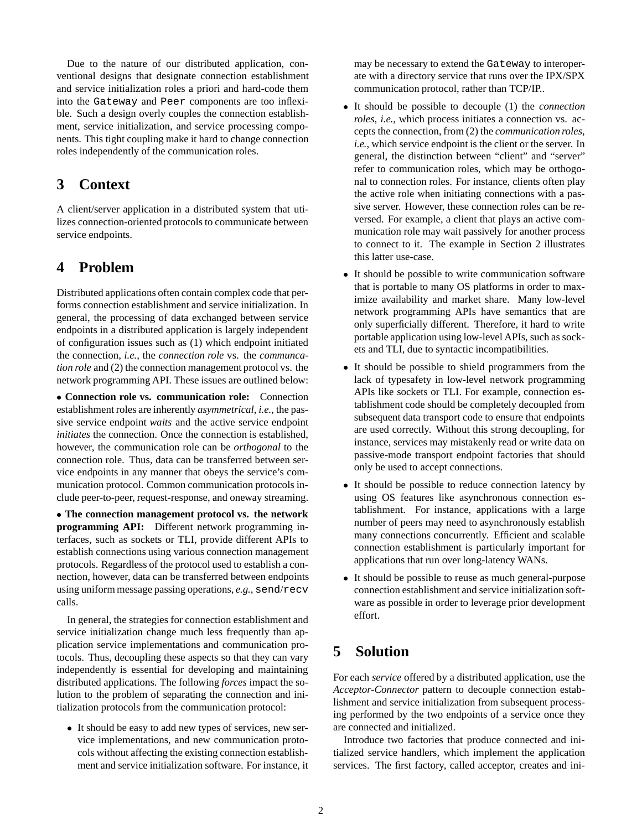Due to the nature of our distributed application, conventional designs that designate connection establishment and service initialization roles a priori and hard-code them into the Gateway and Peer components are too inflexible. Such a design overly couples the connection establishment, service initialization, and service processing components. This tight coupling make it hard to change connection roles independently of the communication roles.

## **3 Context**

A client/server application in a distributed system that utilizes connection-oriented protocols to communicate between service endpoints.

# **4 Problem**

Distributed applications often contain complex code that performs connection establishment and service initialization. In general, the processing of data exchanged between service endpoints in a distributed application is largely independent of configuration issues such as (1) which endpoint initiated the connection, *i.e.*, the *connection role* vs. the *communcation role* and (2) the connection management protocol vs. the network programming API. These issues are outlined below:

 **Connection role vs. communication role:** Connection establishment roles are inherently *asymmetrical*, *i.e.*, the passive service endpoint *waits* and the active service endpoint *initiates* the connection. Once the connection is established, however, the communication role can be *orthogonal* to the connection role. Thus, data can be transferred between service endpoints in any manner that obeys the service's communication protocol. Common communication protocols include peer-to-peer, request-response, and oneway streaming.

 **The connection management protocol vs. the network programming API:** Different network programming interfaces, such as sockets or TLI, provide different APIs to establish connections using various connection management protocols. Regardless of the protocol used to establish a connection, however, data can be transferred between endpoints using uniform message passing operations, *e.g.*, send/recv calls.

In general, the strategies for connection establishment and service initialization change much less frequently than application service implementations and communication protocols. Thus, decoupling these aspects so that they can vary independently is essential for developing and maintaining distributed applications. The following *forces* impact the solution to the problem of separating the connection and initialization protocols from the communication protocol:

 It should be easy to add new types of services, new service implementations, and new communication protocols without affecting the existing connection establishment and service initialization software. For instance, it

may be necessary to extend the Gateway to interoperate with a directory service that runs over the IPX/SPX communication protocol, rather than TCP/IP..

- It should be possible to decouple (1) the *connection roles*, *i.e.*, which process initiates a connection vs. accepts the connection, from (2) the *communication roles*, *i.e.*, which service endpoint is the client or the server. In general, the distinction between "client" and "server" refer to communication roles, which may be orthogonal to connection roles. For instance, clients often play the active role when initiating connections with a passive server. However, these connection roles can be reversed. For example, a client that plays an active communication role may wait passively for another process to connect to it. The example in Section 2 illustrates this latter use-case.
- It should be possible to write communication software that is portable to many OS platforms in order to maximize availability and market share. Many low-level network programming APIs have semantics that are only superficially different. Therefore, it hard to write portable application using low-level APIs, such as sockets and TLI, due to syntactic incompatibilities.
- It should be possible to shield programmers from the lack of typesafety in low-level network programming APIs like sockets or TLI. For example, connection establishment code should be completely decoupled from subsequent data transport code to ensure that endpoints are used correctly. Without this strong decoupling, for instance, services may mistakenly read or write data on passive-mode transport endpoint factories that should only be used to accept connections.
- It should be possible to reduce connection latency by using OS features like asynchronous connection establishment. For instance, applications with a large number of peers may need to asynchronously establish many connections concurrently. Efficient and scalable connection establishment is particularly important for applications that run over long-latency WANs.
- It should be possible to reuse as much general-purpose connection establishment and service initialization software as possible in order to leverage prior development effort.

# **5 Solution**

For each *service* offered by a distributed application, use the *Acceptor-Connector* pattern to decouple connection establishment and service initialization from subsequent processing performed by the two endpoints of a service once they are connected and initialized.

Introduce two factories that produce connected and initialized service handlers, which implement the application services. The first factory, called acceptor, creates and ini-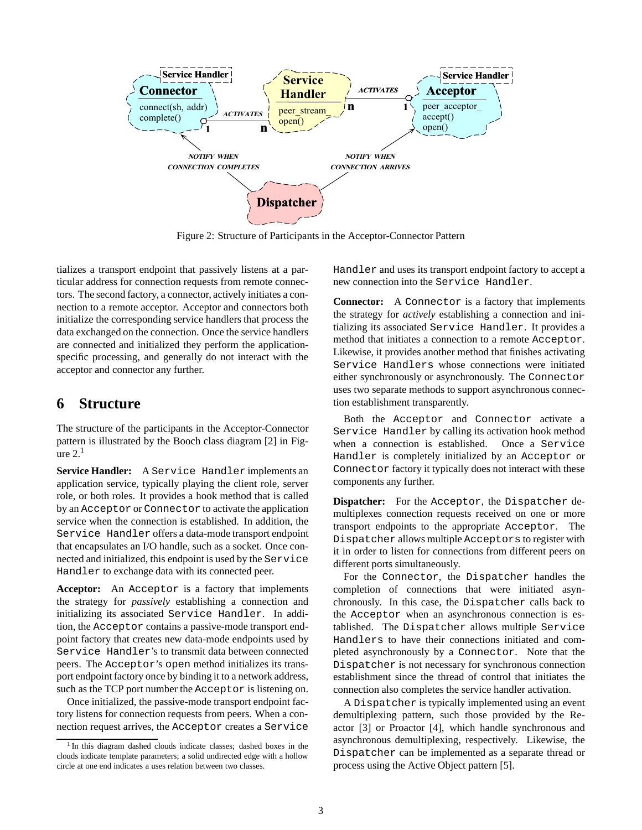

Figure 2: Structure of Participants in the Acceptor-Connector Pattern

tializes a transport endpoint that passively listens at a particular address for connection requests from remote connectors. The second factory, a connector, actively initiates a connection to a remote acceptor. Acceptor and connectors both initialize the corresponding service handlers that process the data exchanged on the connection. Once the service handlers are connected and initialized they perform the applicationspecific processing, and generally do not interact with the acceptor and connector any further.

## **6 Structure**

The structure of the participants in the Acceptor-Connector pattern is illustrated by the Booch class diagram [2] in Figure  $2<sup>1</sup>$ 

**Service Handler:** A Service Handler implements an application service, typically playing the client role, server role, or both roles. It provides a hook method that is called by an Acceptor or Connector to activate the application service when the connection is established. In addition, the Service Handler offers a data-mode transport endpoint that encapsulates an I/O handle, such as a socket. Once connected and initialized, this endpoint is used by the Service Handler to exchange data with its connected peer.

**Acceptor:** An Acceptor is a factory that implements the strategy for *passively* establishing a connection and initializing its associated Service Handler. In addition, the Acceptor contains a passive-mode transport endpoint factory that creates new data-mode endpoints used by Service Handler's to transmit data between connected peers. The Acceptor's open method initializes its transport endpoint factory once by binding it to a network address, such as the TCP port number the Acceptor is listening on.

Once initialized, the passive-mode transport endpoint factory listens for connection requests from peers. When a connection request arrives, the Acceptor creates a Service Handler and uses its transport endpoint factory to accept a new connection into the Service Handler.

**Connector:** A Connector is a factory that implements the strategy for *actively* establishing a connection and initializing its associated Service Handler. It provides a method that initiates a connection to a remote Acceptor. Likewise, it provides another method that finishes activating Service Handlers whose connections were initiated either synchronously or asynchronously. The Connector uses two separate methods to support asynchronous connection establishment transparently.

Both the Acceptor and Connector activate a Service Handler by calling its activation hook method when a connection is established. Once a Service Handler is completely initialized by an Acceptor or Connector factory it typically does not interact with these components any further.

**Dispatcher:** For the Acceptor, the Dispatcher demultiplexes connection requests received on one or more transport endpoints to the appropriate Acceptor. The Dispatcher allows multiple Acceptors to register with it in order to listen for connections from different peers on different ports simultaneously.

For the Connector, the Dispatcher handles the completion of connections that were initiated asynchronously. In this case, the Dispatcher calls back to the Acceptor when an asynchronous connection is established. The Dispatcher allows multiple Service Handlers to have their connections initiated and completed asynchronously by a Connector. Note that the Dispatcher is not necessary for synchronous connection establishment since the thread of control that initiates the connection also completes the service handler activation.

A Dispatcher is typically implemented using an event demultiplexing pattern, such those provided by the Reactor [3] or Proactor [4], which handle synchronous and asynchronous demultiplexing, respectively. Likewise, the Dispatcher can be implemented as a separate thread or process using the Active Object pattern [5].

<sup>1</sup> In this diagram dashed clouds indicate classes; dashed boxes in the clouds indicate template parameters; a solid undirected edge with a hollow circle at one end indicates a uses relation between two classes.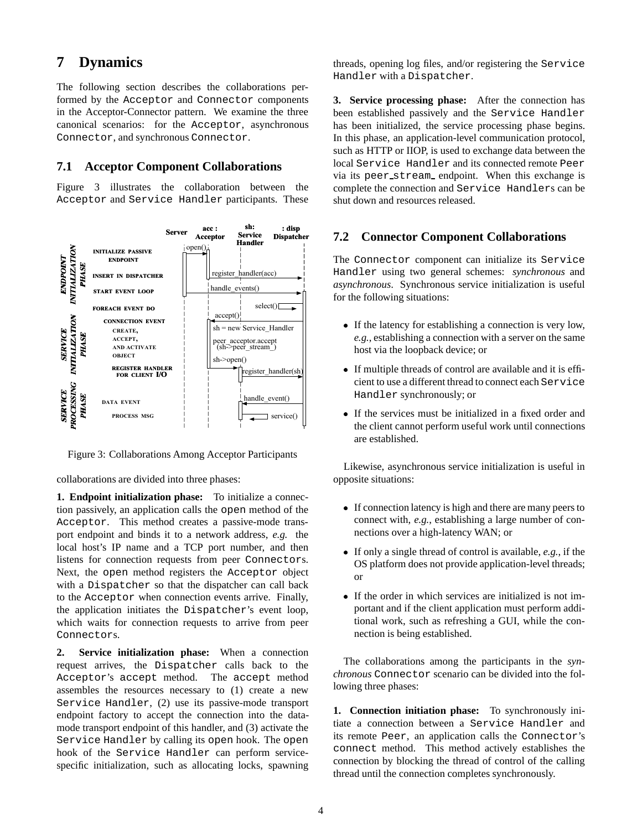# **7 Dynamics**

The following section describes the collaborations performed by the Acceptor and Connector components in the Acceptor-Connector pattern. We examine the three canonical scenarios: for the Acceptor, asynchronous Connector, and synchronous Connector.

### **7.1 Acceptor Component Collaborations**

Figure 3 illustrates the collaboration between the Acceptor and Service Handler participants. These



Figure 3: Collaborations Among Acceptor Participants

collaborations are divided into three phases:

**1. Endpoint initialization phase:** To initialize a connection passively, an application calls the open method of the Acceptor. This method creates a passive-mode transport endpoint and binds it to a network address, *e.g.* the local host's IP name and a TCP port number, and then listens for connection requests from peer Connectors. Next, the open method registers the Acceptor object with a Dispatcher so that the dispatcher can call back to the Acceptor when connection events arrive. Finally, the application initiates the Dispatcher's event loop, which waits for connection requests to arrive from peer Connectors.

**2. Service initialization phase:** When a connection request arrives, the Dispatcher calls back to the Acceptor's accept method. The accept method assembles the resources necessary to (1) create a new Service Handler, (2) use its passive-mode transport endpoint factory to accept the connection into the datamode transport endpoint of this handler, and (3) activate the Service Handler by calling its open hook. The open hook of the Service Handler can perform servicespecific initialization, such as allocating locks, spawning

threads, opening log files, and/or registering the Service Handler with a Dispatcher.

**3. Service processing phase:** After the connection has been established passively and the Service Handler has been initialized, the service processing phase begins. In this phase, an application-level communication protocol, such as HTTP or IIOP, is used to exchange data between the local Service Handler and its connected remote Peer via its peer stream endpoint. When this exchange is complete the connection and Service Handlers can be shut down and resources released.

### **7.2 Connector Component Collaborations**

The Connector component can initialize its Service Handler using two general schemes: *synchronous* and *asynchronous*. Synchronous service initialization is useful for the following situations:

- If the latency for establishing a connection is very low, *e.g.*, establishing a connection with a server on the same host via the loopback device; or
- If multiple threads of control are available and it is efficient to use a different thread to connect each Service Handler synchronously; or
- If the services must be initialized in a fixed order and the client cannot perform useful work until connections are established.

Likewise, asynchronous service initialization is useful in opposite situations:

- If connection latency is high and there are many peers to connect with, *e.g.*, establishing a large number of connections over a high-latency WAN; or
- If only a single thread of control is available, *e.g.*, if the OS platform does not provide application-level threads; or
- If the order in which services are initialized is not important and if the client application must perform additional work, such as refreshing a GUI, while the connection is being established.

The collaborations among the participants in the *synchronous* Connector scenario can be divided into the following three phases:

**1. Connection initiation phase:** To synchronously initiate a connection between a Service Handler and its remote Peer, an application calls the Connector's connect method. This method actively establishes the connection by blocking the thread of control of the calling thread until the connection completes synchronously.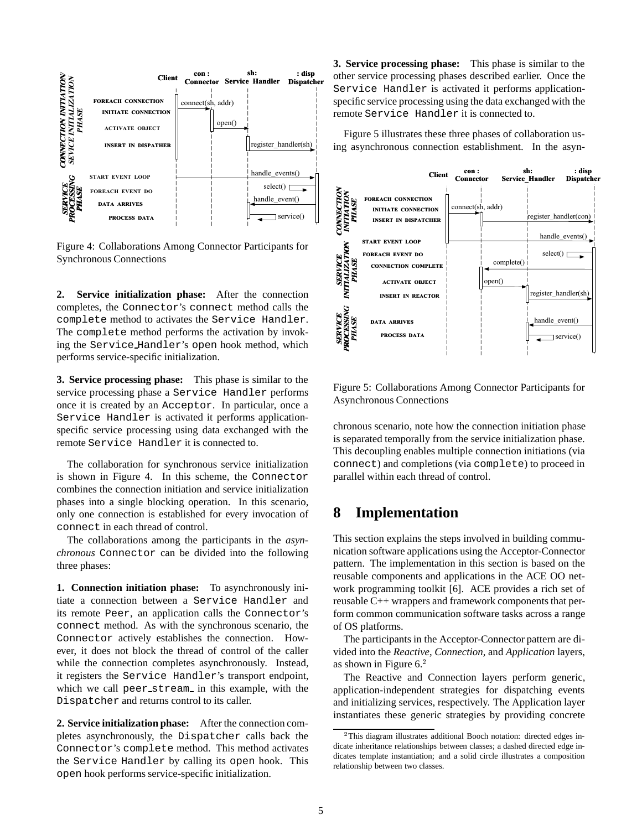

Figure 4: Collaborations Among Connector Participants for Synchronous Connections

**2. Service initialization phase:** After the connection completes, the Connector's connect method calls the complete method to activates the Service Handler. The complete method performs the activation by invoking the Service Handler's open hook method, which performs service-specific initialization.

**3. Service processing phase:** This phase is similar to the service processing phase a Service Handler performs once it is created by an Acceptor. In particular, once a Service Handler is activated it performs applicationspecific service processing using data exchanged with the remote Service Handler it is connected to.

The collaboration for synchronous service initialization is shown in Figure 4. In this scheme, the Connector combines the connection initiation and service initialization phases into a single blocking operation. In this scenario, only one connection is established for every invocation of connect in each thread of control.

The collaborations among the participants in the *asynchronous* Connector can be divided into the following three phases:

**1. Connection initiation phase:** To asynchronously initiate a connection between a Service Handler and its remote Peer, an application calls the Connector's connect method. As with the synchronous scenario, the Connector actively establishes the connection. However, it does not block the thread of control of the caller while the connection completes asynchronously. Instead, it registers the Service Handler's transport endpoint, which we call peer stream in this example, with the Dispatcher and returns control to its caller.

**2. Service initialization phase:** After the connection completes asynchronously, the Dispatcher calls back the Connector's complete method. This method activates the Service Handler by calling its open hook. This open hook performs service-specific initialization.

**3. Service processing phase:** This phase is similar to the other service processing phases described earlier. Once the Service Handler is activated it performs applicationspecific service processing using the data exchanged with the remote Service Handler it is connected to.

Figure 5 illustrates these three phases of collaboration using asynchronous connection establishment. In the asyn-



Figure 5: Collaborations Among Connector Participants for Asynchronous Connections

chronous scenario, note how the connection initiation phase is separated temporally from the service initialization phase. This decoupling enables multiple connection initiations (via connect) and completions (via complete) to proceed in parallel within each thread of control.

## **8 Implementation**

This section explains the steps involved in building communication software applications using the Acceptor-Connector pattern. The implementation in this section is based on the reusable components and applications in the ACE OO network programming toolkit [6]. ACE provides a rich set of reusable C++ wrappers and framework components that perform common communication software tasks across a range of OS platforms.

The participants in the Acceptor-Connector pattern are divided into the *Reactive*, *Connection*, and *Application* layers, as shown in Figure  $6<sup>2</sup>$ 

The Reactive and Connection layers perform generic, application-independent strategies for dispatching events and initializing services, respectively. The Application layer instantiates these generic strategies by providing concrete

<sup>&</sup>lt;sup>2</sup>This diagram illustrates additional Booch notation: directed edges indicate inheritance relationships between classes; a dashed directed edge indicates template instantiation; and a solid circle illustrates a composition relationship between two classes.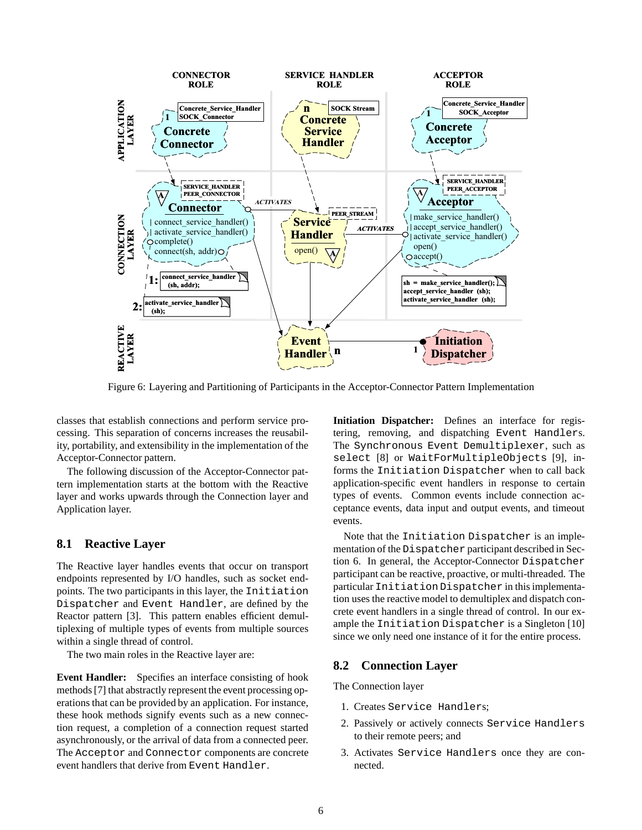

Figure 6: Layering and Partitioning of Participants in the Acceptor-Connector Pattern Implementation

classes that establish connections and perform service processing. This separation of concerns increases the reusability, portability, and extensibility in the implementation of the Acceptor-Connector pattern.

The following discussion of the Acceptor-Connector pattern implementation starts at the bottom with the Reactive layer and works upwards through the Connection layer and Application layer.

#### **8.1 Reactive Layer**

The Reactive layer handles events that occur on transport endpoints represented by I/O handles, such as socket endpoints. The two participants in this layer, the Initiation Dispatcher and Event Handler, are defined by the Reactor pattern [3]. This pattern enables efficient demultiplexing of multiple types of events from multiple sources within a single thread of control.

The two main roles in the Reactive layer are:

**Event Handler:** Specifies an interface consisting of hook methods [7] that abstractly represent the event processing operations that can be provided by an application. For instance, these hook methods signify events such as a new connection request, a completion of a connection request started asynchronously, or the arrival of data from a connected peer. The Acceptor and Connector components are concrete event handlers that derive from Event Handler.

**Initiation Dispatcher:** Defines an interface for registering, removing, and dispatching Event Handlers. The Synchronous Event Demultiplexer, such as select [8] or WaitForMultipleObjects [9], informs the Initiation Dispatcher when to call back application-specific event handlers in response to certain types of events. Common events include connection acceptance events, data input and output events, and timeout events.

Note that the Initiation Dispatcher is an implementation of the Dispatcher participant described in Section 6. In general, the Acceptor-Connector Dispatcher participant can be reactive, proactive, or multi-threaded. The particular Initiation Dispatcher in this implementation uses the reactive model to demultiplex and dispatch concrete event handlers in a single thread of control. In our example the Initiation Dispatcher is a Singleton [10] since we only need one instance of it for the entire process.

#### **8.2 Connection Layer**

The Connection layer

- 1. Creates Service Handlers;
- 2. Passively or actively connects Service Handlers to their remote peers; and
- 3. Activates Service Handlers once they are connected.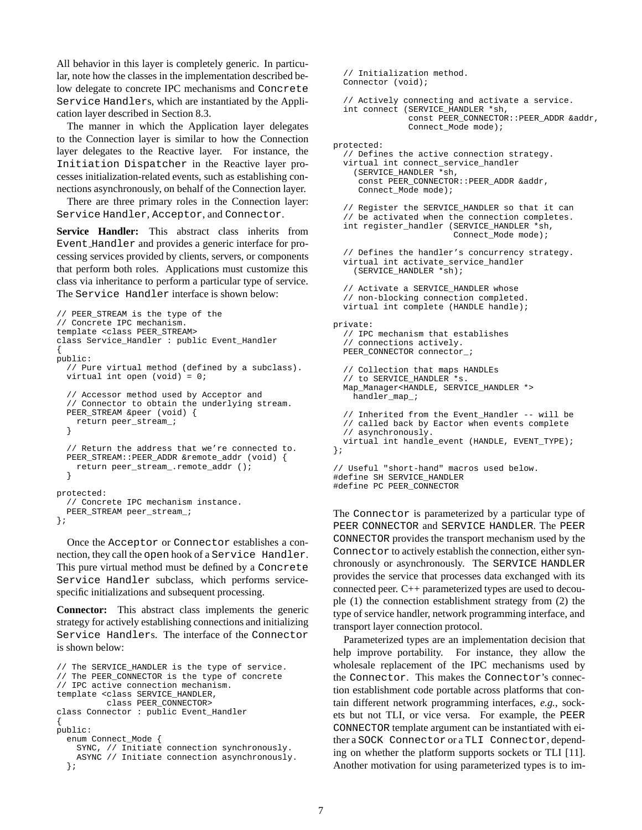All behavior in this layer is completely generic. In particular, note how the classes in the implementation described below delegate to concrete IPC mechanisms and Concrete Service Handlers, which are instantiated by the Application layer described in Section 8.3.

The manner in which the Application layer delegates to the Connection layer is similar to how the Connection layer delegates to the Reactive layer. For instance, the Initiation Dispatcher in the Reactive layer processes initialization-related events, such as establishing connections asynchronously, on behalf of the Connection layer.

There are three primary roles in the Connection layer: Service Handler, Acceptor, and Connector.

**Service Handler:** This abstract class inherits from Event Handler and provides a generic interface for processing services provided by clients, servers, or components that perform both roles. Applications must customize this class via inheritance to perform a particular type of service. The Service Handler interface is shown below:

```
// PEER_STREAM is the type of the
// Concrete IPC mechanism.
template <class PEER_STREAM>
class Service_Handler : public Event_Handler
{
public:
  // Pure virtual method (defined by a subclass).
 virtual int open (void) = 0;
  // Accessor method used by Acceptor and
  // Connector to obtain the underlying stream.
 PEER STREAM &peer (void) {
   return peer_stream_;
  }
  // Return the address that we're connected to.
 PEER_STREAM::PEER_ADDR &remote_addr (void) {
    return peer_stream_.remote_addr ();
  }
protected:
  // Concrete IPC mechanism instance.
  PEER_STREAM peer_stream_;
};
```
Once the Acceptor or Connector establishes a connection, they call the open hook of a Service Handler. This pure virtual method must be defined by a Concrete Service Handler subclass, which performs servicespecific initializations and subsequent processing.

**Connector:** This abstract class implements the generic strategy for actively establishing connections and initializing Service Handlers. The interface of the Connector is shown below:

```
// The SERVICE_HANDLER is the type of service.
// The PEER_CONNECTOR is the type of concrete
// IPC active connection mechanism.
template <class SERVICE_HANDLER,
         class PEER_CONNECTOR>
class Connector : public Event_Handler
{
public:
 enum Connect_Mode {
    SYNC, // Initiate connection synchronously.
    ASYNC // Initiate connection asynchronously.
  };
```

```
// Initialization method.
  Connector (void);
  // Actively connecting and activate a service.
  int connect (SERVICE_HANDLER *sh,
               const PEER_CONNECTOR::PEER_ADDR &addr,
               Connect_Mode mode);
protected:
  // Defines the active connection strategy.
  virtual int connect_service_handler
    (SERVICE_HANDLER *sh,
     const PEER_CONNECTOR::PEER_ADDR &addr,
     Connect_Mode mode);
  // Register the SERVICE_HANDLER so that it can
  // be activated when the connection completes.
  int register_handler (SERVICE_HANDLER *sh,
                        Connect_Mode mode);
  // Defines the handler's concurrency strategy.
  virtual int activate_service_handler
    (SERVICE_HANDLER *sh);
  // Activate a SERVICE_HANDLER whose
  // non-blocking connection completed.
  virtual int complete (HANDLE handle);
private:
  // IPC mechanism that establishes
  // connections actively.
  PEER_CONNECTOR_connector_;
  // Collection that maps HANDLEs
  // to SERVICE_HANDLER *s.
  Map_Manager<HANDLE, SERVICE_HANDLER *>
   handler_map_;
  // Inherited from the Event_Handler -- will be
  // called back by Eactor when events complete
  // asynchronously.
  virtual int handle_event (HANDLE, EVENT_TYPE);
};
// Useful "short-hand" macros used below.
#define SH SERVICE_HANDLER
#define PC PEER_CONNECTOR
```
The Connector is parameterized by a particular type of PEER CONNECTOR and SERVICE HANDLER. The PEER CONNECTOR provides the transport mechanism used by the Connector to actively establish the connection, either synchronously or asynchronously. The SERVICE HANDLER provides the service that processes data exchanged with its connected peer. C++ parameterized types are used to decouple (1) the connection establishment strategy from (2) the type of service handler, network programming interface, and transport layer connection protocol.

Parameterized types are an implementation decision that help improve portability. For instance, they allow the wholesale replacement of the IPC mechanisms used by the Connector. This makes the Connector's connection establishment code portable across platforms that contain different network programming interfaces, *e.g.*, sockets but not TLI, or vice versa. For example, the PEER CONNECTOR template argument can be instantiated with either a SOCK Connector or a TLI Connector, depending on whether the platform supports sockets or TLI [11]. Another motivation for using parameterized types is to im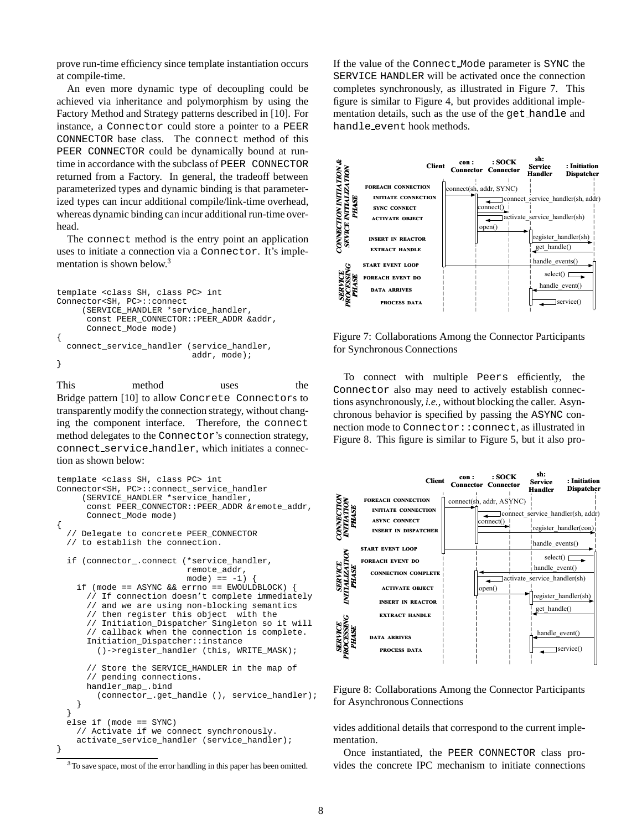prove run-time efficiency since template instantiation occurs at compile-time.

An even more dynamic type of decoupling could be achieved via inheritance and polymorphism by using the Factory Method and Strategy patterns described in [10]. For instance, a Connector could store a pointer to a PEER CONNECTOR base class. The connect method of this PEER CONNECTOR could be dynamically bound at runtime in accordance with the subclass of PEER CONNECTOR returned from a Factory. In general, the tradeoff between parameterized types and dynamic binding is that parameterized types can incur additional compile/link-time overhead, whereas dynamic binding can incur additional run-time overhead.

The connect method is the entry point an application uses to initiate a connection via a Connector. It's implementation is shown below.<sup>3</sup>

```
template <class SH, class PC> int
Connector<SH, PC>::connect
     (SERVICE_HANDLER *service_handler,
      const PEER_CONNECTOR::PEER_ADDR &addr,
      Connect_Mode mode)
{
  connect_service_handler (service_handler,
                            addr, mode);
}
```
This method uses the Bridge pattern [10] to allow Concrete Connectors to transparently modify the connection strategy, without changing the component interface. Therefore, the connect method delegates to the Connector's connection strategy, connect service handler, which initiates a connection as shown below:

```
template <class SH, class PC> int
Connector<SH, PC>::connect_service_handler
     (SERVICE_HANDLER *service_handler,
      const PEER_CONNECTOR::PEER_ADDR &remote_addr,
      Connect_Mode mode)
{
  // Delegate to concrete PEER_CONNECTOR
  // to establish the connection.
  if (connector_.connect (*service_handler,
                          remote_addr,
                          mode) == -1)
    if (mode == ASYNC && errno == EWOULDBLOCK) {
      // If connection doesn't complete immediately
      // and we are using non-blocking semantics
      // then register this object with the
      // Initiation_Dispatcher Singleton so it will
      // callback when the connection is complete.
      Initiation_Dispatcher::instance
        ()->register_handler (this, WRITE_MASK);
      // Store the SERVICE_HANDLER in the map of
      // pending connections.
      handler_map_.bind
        (connector_.get_handle (), service_handler);
    }
  }
  else if (mode == SYNC)
    // Activate if we connect synchronously.
    activate_service_handler (service_handler);
}
```
If the value of the Connect Mode parameter is SYNC the SERVICE HANDLER will be activated once the connection completes synchronously, as illustrated in Figure 7. This figure is similar to Figure 4, but provides additional implementation details, such as the use of the get handle and handle event hook methods.



Figure 7: Collaborations Among the Connector Participants for Synchronous Connections

To connect with multiple Peers efficiently, the Connector also may need to actively establish connections asynchronously, *i.e.,* without blocking the caller. Asynchronous behavior is specified by passing the ASYNC connection mode to Connector::connect, as illustrated in Figure 8. This figure is similar to Figure 5, but it also pro-



Figure 8: Collaborations Among the Connector Participants for Asynchronous Connections

vides additional details that correspond to the current implementation.

Once instantiated, the PEER CONNECTOR class provides the concrete IPC mechanism to initiate connections

<sup>&</sup>lt;sup>3</sup>To save space, most of the error handling in this paper has been omitted.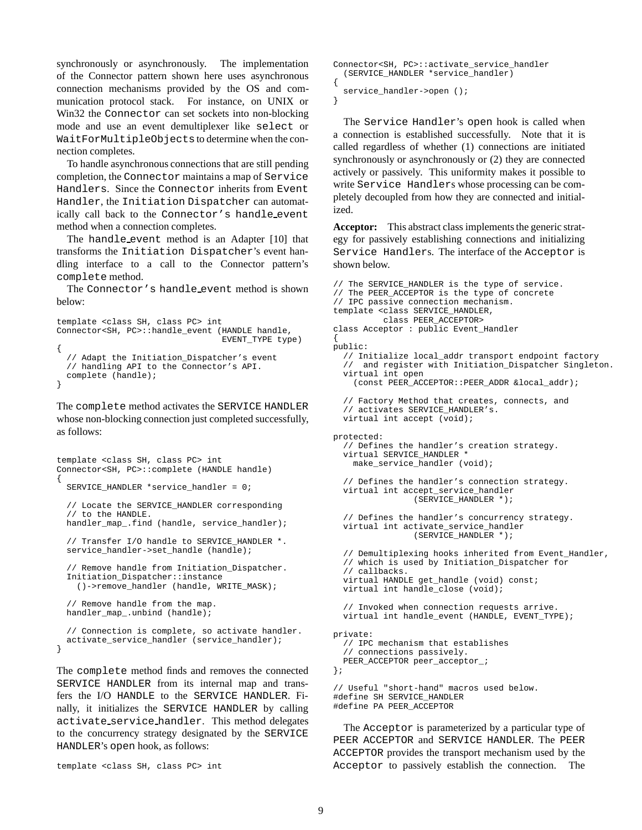synchronously or asynchronously. The implementation of the Connector pattern shown here uses asynchronous connection mechanisms provided by the OS and communication protocol stack. For instance, on UNIX or Win32 the Connector can set sockets into non-blocking mode and use an event demultiplexer like select or WaitForMultipleObjectsto determine when the connection completes.

To handle asynchronous connections that are still pending completion, the Connector maintains a map of Service Handlers. Since the Connector inherits from Event Handler, the Initiation Dispatcher can automatically call back to the Connector's handle event method when a connection completes.

The handle event method is an Adapter [10] that transforms the Initiation Dispatcher's event handling interface to a call to the Connector pattern's complete method.

The Connector's handle event method is shown below:

```
template <class SH, class PC> int
Connector<SH, PC>::handle_event (HANDLE handle,
                                 EVENT_TYPE type)
{
  // Adapt the Initiation_Dispatcher's event
  // handling API to the Connector's API.
  complete (handle);
}
```
The complete method activates the SERVICE HANDLER whose non-blocking connection just completed successfully, as follows:

```
template <class SH, class PC> int
Connector<SH, PC>::complete (HANDLE handle)
{
  SERVICE HANDLER *service handler = 0;
  // Locate the SERVICE_HANDLER corresponding
  // to the HANDLE.
 handler_map_.find (handle, service_handler);
  // Transfer I/O handle to SERVICE_HANDLER *.
  service_handler->set_handle (handle);
  // Remove handle from Initiation Dispatcher.
  Initiation_Dispatcher::instance
    ()->remove_handler (handle, WRITE_MASK);
  // Remove handle from the map.
 handler_map_.unbind (handle);
  // Connection is complete, so activate handler.
  activate_service_handler (service_handler);
}
```
The complete method finds and removes the connected SERVICE HANDLER from its internal map and transfers the I/O HANDLE to the SERVICE HANDLER. Finally, it initializes the SERVICE HANDLER by calling activate service handler. This method delegates to the concurrency strategy designated by the SERVICE HANDLER's open hook, as follows:

```
template <class SH, class PC> int
```

```
Connector<SH, PC>::activate_service_handler
  (SERVICE_HANDLER *service_handler)
{
 service_handler->open ();
```
}

The Service Handler's open hook is called when a connection is established successfully. Note that it is called regardless of whether (1) connections are initiated synchronously or asynchronously or (2) they are connected actively or passively. This uniformity makes it possible to write Service Handlers whose processing can be completely decoupled from how they are connected and initialized.

**Acceptor:** This abstract class implements the generic strategy for passively establishing connections and initializing Service Handlers. The interface of the Acceptor is shown below.

```
// The SERVICE_HANDLER is the type of service.
// The PEER_ACCEPTOR is the type of concrete
// IPC passive connection mechanism.
template <class SERVICE_HANDLER,
         class PEER_ACCEPTOR>
class Acceptor : public Event_Handler
{
public:
  // Initialize local_addr transport endpoint factory
     and register with Initiation_Dispatcher Singleton.
  virtual int open
    (const PEER_ACCEPTOR::PEER_ADDR &local_addr);
  // Factory Method that creates, connects, and
  // activates SERVICE_HANDLER's.
  virtual int accept (void);
protected:
  // Defines the handler's creation strategy.
 virtual SERVICE_HANDLER *
    make_service_handler (void);
  // Defines the handler's connection strategy.
 virtual int accept_service_handler
                (SERVICE_HANDLER *);
  // Defines the handler's concurrency strategy.
  virtual int activate service handler
                (SERVICE_HANDLER *);
  // Demultiplexing hooks inherited from Event_Handler,
  // which is used by Initiation_Dispatcher for
  // callbacks.
  virtual HANDLE get_handle (void) const;
  virtual int handle_close (void);
  // Invoked when connection requests arrive.
  virtual int handle_event (HANDLE, EVENT_TYPE);
private:
  // IPC mechanism that establishes
  // connections passively.
 PEER_ACCEPTOR peer_acceptor_;
};
// Useful "short-hand" macros used below.
#define SH SERVICE_HANDLER
```
#define PA PEER\_ACCEPTOR

The Acceptor is parameterized by a particular type of PEER ACCEPTOR and SERVICE HANDLER. The PEER ACCEPTOR provides the transport mechanism used by the Acceptor to passively establish the connection. The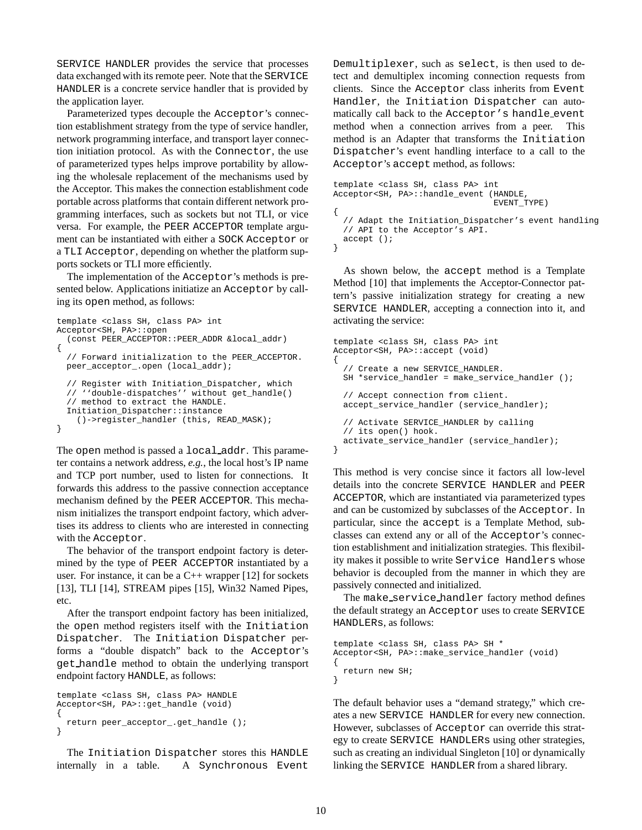SERVICE HANDLER provides the service that processes data exchanged with its remote peer. Note that the SERVICE HANDLER is a concrete service handler that is provided by the application layer.

Parameterized types decouple the Acceptor's connection establishment strategy from the type of service handler, network programming interface, and transport layer connection initiation protocol. As with the Connector, the use of parameterized types helps improve portability by allowing the wholesale replacement of the mechanisms used by the Acceptor. This makes the connection establishment code portable across platforms that contain different network programming interfaces, such as sockets but not TLI, or vice versa. For example, the PEER ACCEPTOR template argument can be instantiated with either a SOCK Acceptor or a TLI Acceptor, depending on whether the platform supports sockets or TLI more efficiently.

The implementation of the Acceptor's methods is presented below. Applications initiatize an Acceptor by calling its open method, as follows:

```
template <class SH, class PA> int
Acceptor<SH, PA>::open
  (const PEER_ACCEPTOR::PEER_ADDR &local_addr)
{
  // Forward initialization to the PEER_ACCEPTOR.
 peer_acceptor_.open (local_addr);
  // Register with Initiation_Dispatcher, which
  // ''double-dispatches'' without get_handle()
  // method to extract the HANDLE.
  Initiation_Dispatcher::instance
    ()->register_handler (this, READ_MASK);
}
```
The open method is passed a local addr. This parameter contains a network address, *e.g.*, the local host's IP name and TCP port number, used to listen for connections. It forwards this address to the passive connection acceptance mechanism defined by the PEER ACCEPTOR. This mechanism initializes the transport endpoint factory, which advertises its address to clients who are interested in connecting with the Acceptor.

The behavior of the transport endpoint factory is determined by the type of PEER ACCEPTOR instantiated by a user. For instance, it can be a C++ wrapper [12] for sockets [13], TLI [14], STREAM pipes [15], Win32 Named Pipes, etc.

After the transport endpoint factory has been initialized, the open method registers itself with the Initiation Dispatcher. The Initiation Dispatcher performs a "double dispatch" back to the Acceptor's get handle method to obtain the underlying transport endpoint factory HANDLE, as follows:

```
template <class SH, class PA> HANDLE
Acceptor<SH, PA>::get_handle (void)
{
 return peer_acceptor_.get_handle ();
}
```
The Initiation Dispatcher stores this HANDLE internally in a table. A Synchronous Event Demultiplexer, such as select, is then used to detect and demultiplex incoming connection requests from clients. Since the Acceptor class inherits from Event Handler, the Initiation Dispatcher can automatically call back to the Acceptor's handle event method when a connection arrives from a peer. This method is an Adapter that transforms the Initiation Dispatcher's event handling interface to a call to the Acceptor's accept method, as follows:

```
template <class SH, class PA> int
Acceptor<SH, PA>::handle_event (HANDLE,
                                EVENT_TYPE)
{
  // Adapt the Initiation_Dispatcher's event handling
  // API to the Acceptor's API.
 accept ();
}
```
As shown below, the accept method is a Template Method [10] that implements the Acceptor-Connector pattern's passive initialization strategy for creating a new SERVICE HANDLER, accepting a connection into it, and activating the service:

```
template <class SH, class PA> int
Acceptor<SH, PA>::accept (void)
{
  // Create a new SERVICE_HANDLER.
 SH *service_handler = make_service_handler ();
  // Accept connection from client.
 accept_service_handler (service_handler);
  // Activate SERVICE_HANDLER by calling
  // its open() hook.
 activate_service_handler (service_handler);
}
```
This method is very concise since it factors all low-level details into the concrete SERVICE HANDLER and PEER ACCEPTOR, which are instantiated via parameterized types and can be customized by subclasses of the Acceptor. In particular, since the accept is a Template Method, subclasses can extend any or all of the Acceptor's connection establishment and initialization strategies. This flexibility makes it possible to write Service Handlers whose behavior is decoupled from the manner in which they are passively connected and initialized.

The make service handler factory method defines the default strategy an Acceptor uses to create SERVICE HANDLERs, as follows:

```
template <class SH, class PA> SH *
Acceptor<SH, PA>::make_service_handler (void)
{
 return new SH;
}
```
The default behavior uses a "demand strategy," which creates a new SERVICE HANDLER for every new connection. However, subclasses of Acceptor can override this strategy to create SERVICE HANDLERs using other strategies, such as creating an individual Singleton [10] or dynamically linking the SERVICE HANDLER from a shared library.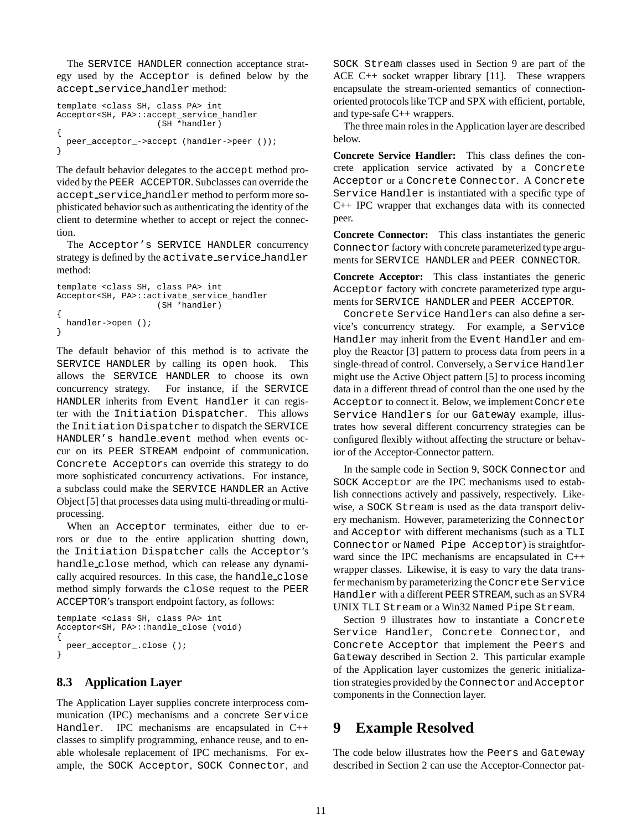The SERVICE HANDLER connection acceptance strategy used by the Acceptor is defined below by the accept service handler method:

```
template <class SH, class PA> int
Acceptor<SH, PA>::accept_service_handler
                    (SH *handler)
{
 peer_acceptor_->accept (handler->peer ());
}
```
The default behavior delegates to the accept method provided by the PEER ACCEPTOR. Subclasses can override the accept service handler method to perform more sophisticated behavior such as authenticating the identity of the client to determine whether to accept or reject the connection.

The Acceptor's SERVICE HANDLER concurrency strategy is defined by the activate service handler method:

```
template <class SH, class PA> int
Acceptor<SH, PA>::activate_service_handler
                    (SH *handler)
{
 handler->open ();
}
```
The default behavior of this method is to activate the SERVICE HANDLER by calling its open hook. This allows the SERVICE HANDLER to choose its own concurrency strategy. For instance, if the SERVICE HANDLER inherits from Event Handler it can register with the Initiation Dispatcher. This allows the Initiation Dispatcher to dispatch the SERVICE HANDLER's handle event method when events occur on its PEER STREAM endpoint of communication. Concrete Acceptors can override this strategy to do more sophisticated concurrency activations. For instance, a subclass could make the SERVICE HANDLER an Active Object [5] that processes data using multi-threading or multiprocessing.

When an Acceptor terminates, either due to errors or due to the entire application shutting down, the Initiation Dispatcher calls the Acceptor's handle close method, which can release any dynamically acquired resources. In this case, the handle close method simply forwards the close request to the PEER ACCEPTOR's transport endpoint factory, as follows:

```
template <class SH, class PA> int
Acceptor<SH, PA>::handle_close (void)
{
 peer_acceptor_.close ();
}
```
### **8.3 Application Layer**

The Application Layer supplies concrete interprocess communication (IPC) mechanisms and a concrete Service Handler. IPC mechanisms are encapsulated in C++ classes to simplify programming, enhance reuse, and to enable wholesale replacement of IPC mechanisms. For example, the SOCK Acceptor, SOCK Connector, and

SOCK Stream classes used in Section 9 are part of the ACE C++ socket wrapper library [11]. These wrappers encapsulate the stream-oriented semantics of connectionoriented protocols like TCP and SPX with efficient, portable, and type-safe C++ wrappers.

The three main roles in the Application layer are described below.

**Concrete Service Handler:** This class defines the concrete application service activated by a Concrete Acceptor or a Concrete Connector. A Concrete Service Handler is instantiated with a specific type of C++ IPC wrapper that exchanges data with its connected peer.

**Concrete Connector:** This class instantiates the generic Connector factory with concrete parameterized type arguments for SERVICE HANDLER and PEER CONNECTOR.

**Concrete Acceptor:** This class instantiates the generic Acceptor factory with concrete parameterized type arguments for SERVICE HANDLER and PEER ACCEPTOR.

Concrete Service Handlers can also define a service's concurrency strategy. For example, a Service Handler may inherit from the Event Handler and employ the Reactor [3] pattern to process data from peers in a single-thread of control. Conversely, a Service Handler might use the Active Object pattern [5] to process incoming data in a different thread of control than the one used by the Acceptor to connect it. Below, we implement Concrete Service Handlers for our Gateway example, illustrates how several different concurrency strategies can be configured flexibly without affecting the structure or behavior of the Acceptor-Connector pattern.

In the sample code in Section 9, SOCK Connector and SOCK Acceptor are the IPC mechanisms used to establish connections actively and passively, respectively. Likewise, a SOCK Stream is used as the data transport delivery mechanism. However, parameterizing the Connector and Acceptor with different mechanisms (such as a TLI Connector or Named Pipe Acceptor) is straightforward since the IPC mechanisms are encapsulated in C++ wrapper classes. Likewise, it is easy to vary the data transfer mechanism by parameterizing the Concrete Service Handler with a different PEER STREAM, such as an SVR4 UNIX TLI Stream or a Win32 Named Pipe Stream.

Section 9 illustrates how to instantiate a Concrete Service Handler, Concrete Connector, and Concrete Acceptor that implement the Peers and Gateway described in Section 2. This particular example of the Application layer customizes the generic initialization strategies provided by the Connector and Acceptor components in the Connection layer.

# **9 Example Resolved**

The code below illustrates how the Peers and Gateway described in Section 2 can use the Acceptor-Connector pat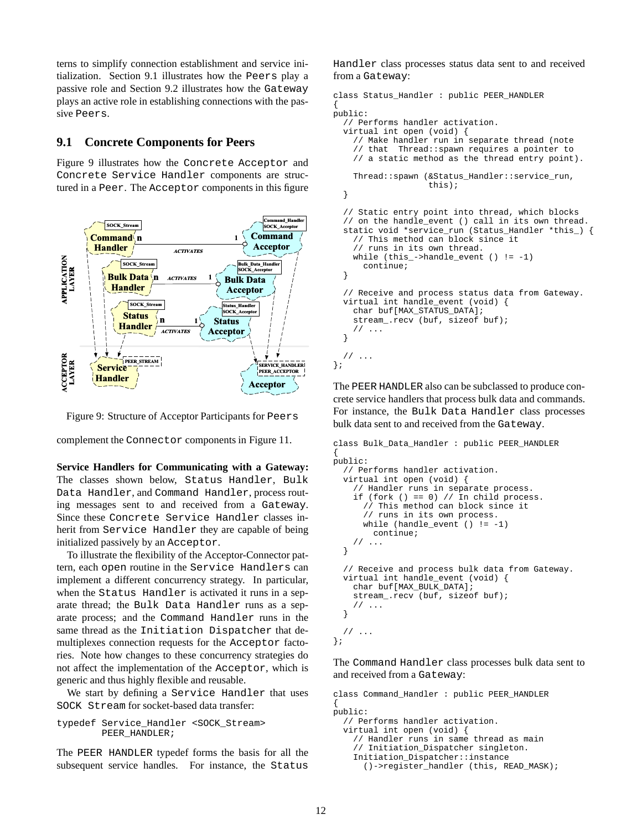terns to simplify connection establishment and service initialization. Section 9.1 illustrates how the Peers play a passive role and Section 9.2 illustrates how the Gateway plays an active role in establishing connections with the passive Peers.

### **9.1 Concrete Components for Peers**

Figure 9 illustrates how the Concrete Acceptor and Concrete Service Handler components are structured in a Peer. The Acceptor components in this figure



Figure 9: Structure of Acceptor Participants for Peers

complement the Connector components in Figure 11.

**Service Handlers for Communicating with a Gateway:** The classes shown below, Status Handler, Bulk Data Handler, and Command Handler, process routing messages sent to and received from a Gateway. Since these Concrete Service Handler classes inherit from Service Handler they are capable of being initialized passively by an Acceptor.

To illustrate the flexibility of the Acceptor-Connector pattern, each open routine in the Service Handlers can implement a different concurrency strategy. In particular, when the Status Handler is activated it runs in a separate thread; the Bulk Data Handler runs as a separate process; and the Command Handler runs in the same thread as the Initiation Dispatcher that demultiplexes connection requests for the Acceptor factories. Note how changes to these concurrency strategies do not affect the implementation of the Acceptor, which is generic and thus highly flexible and reusable.

We start by defining a Service Handler that uses SOCK Stream for socket-based data transfer:

```
typedef Service_Handler <SOCK_Stream>
       PEER_HANDLER;
```
The PEER HANDLER typedef forms the basis for all the subsequent service handles. For instance, the Status

Handler class processes status data sent to and received from a Gateway:

{

```
class Status_Handler : public PEER_HANDLER
public:
  // Performs handler activation.
  virtual int open (void) {
    // Make handler run in separate thread (note
    // that Thread::spawn requires a pointer to
    // a static method as the thread entry point).
    Thread::spawn (&Status_Handler::service_run,
                   this);
  }
  // Static entry point into thread, which blocks
  // on the handle_event () call in its own thread.
  static void *service_run (Status_Handler *this_) {
    // This method can block since it
    // runs in its own thread.
    while (this_-\text{-}handle_event () != -1)continue;
  }
  // Receive and process status data from Gateway.
  virtual int handle_event (void) {
    char buf[MAX_STATUS_DATA];
    stream_.recv (buf, sizeof buf);
    // ...
  }
  // ...
};
```
The PEER HANDLER also can be subclassed to produce concrete service handlers that process bulk data and commands. For instance, the Bulk Data Handler class processes bulk data sent to and received from the Gateway.

```
class Bulk_Data_Handler : public PEER_HANDLER
{
public:
  // Performs handler activation.
 virtual int open (void) {
     // Handler runs in separate process.
    if (fork () == 0) // In child process.
      // This method can block since it
      // runs in its own process.
      while (handle_event () != -1)
        continue;
    // ...
  }
  // Receive and process bulk data from Gateway.
  virtual int handle_event (void) {
    char buf[MAX_BULK_DATA];
    stream_.recv (buf, sizeof buf);
    // ...
  }
  // ...
};
```
The Command Handler class processes bulk data sent to and received from a Gateway:

```
class Command_Handler : public PEER_HANDLER
{
public:
  // Performs handler activation.
  virtual int open (void) {
    // Handler runs in same thread as main
    // Initiation_Dispatcher singleton.
    Initiation_Dispatcher::instance
      ()->register_handler (this, READ_MASK);
```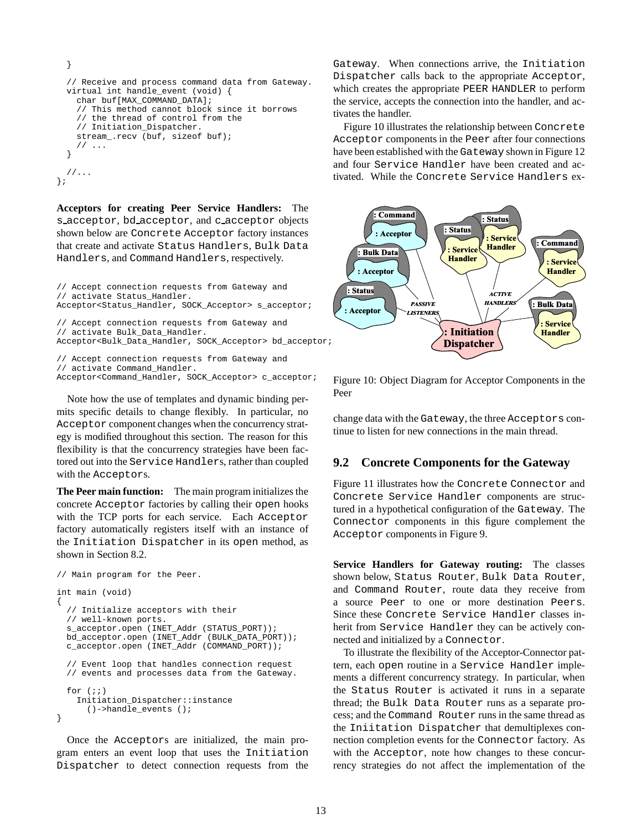```
}
  // Receive and process command data from Gateway.
  virtual int handle_event (void) {
    char buf[MAX_COMMAND_DATA];
    // This method cannot block since it borrows
    // the thread of control from the
    // Initiation_Dispatcher.
    stream_.recv (buf, sizeof buf);
    // ...
  }
  //...
};
```
**Acceptors for creating Peer Service Handlers:** The s acceptor, bd acceptor, and c acceptor objects shown below are Concrete Acceptor factory instances that create and activate Status Handlers, Bulk Data Handlers, and Command Handlers, respectively.

// Accept connection requests from Gateway and // activate Status\_Handler. Acceptor<Status\_Handler, SOCK\_Acceptor> s\_acceptor; // Accept connection requests from Gateway and // activate Bulk\_Data\_Handler. Acceptor<Bulk\_Data\_Handler, SOCK\_Acceptor> bd\_acceptor; // Accept connection requests from Gateway and // activate Command\_Handler. Acceptor<Command\_Handler, SOCK\_Acceptor> c\_acceptor;

Note how the use of templates and dynamic binding permits specific details to change flexibly. In particular, no Acceptor component changes when the concurrency strategy is modified throughout this section. The reason for this flexibility is that the concurrency strategies have been factored out into the Service Handlers, rather than coupled with the Acceptors.

**The Peer main function:** The main program initializes the concrete Acceptor factories by calling their open hooks with the TCP ports for each service. Each Acceptor factory automatically registers itself with an instance of the Initiation Dispatcher in its open method, as shown in Section 8.2.

```
// Main program for the Peer.
int main (void)
{
  // Initialize acceptors with their
 // well-known ports.
 s_acceptor.open (INET_Addr (STATUS_PORT));
 bd_acceptor.open (INET_Addr (BULK_DATA_PORT));
 c_acceptor.open (INET_Addr (COMMAND_PORT));
  // Event loop that handles connection request
 // events and processes data from the Gateway.
 for (i; j)Initiation_Dispatcher::instance
      ()->handle_events ();
}
```
Once the Acceptors are initialized, the main program enters an event loop that uses the Initiation Dispatcher to detect connection requests from the

Gateway. When connections arrive, the Initiation Dispatcher calls back to the appropriate Acceptor, which creates the appropriate PEER HANDLER to perform the service, accepts the connection into the handler, and activates the handler.

Figure 10 illustrates the relationship between Concrete Acceptor components in the Peer after four connections have been established with the Gateway shown in Figure 12 and four Service Handler have been created and activated. While the Concrete Service Handlers ex-



Figure 10: Object Diagram for Acceptor Components in the Peer

change data with the Gateway, the three Acceptors continue to listen for new connections in the main thread.

#### **9.2 Concrete Components for the Gateway**

Figure 11 illustrates how the Concrete Connector and Concrete Service Handler components are structured in a hypothetical configuration of the Gateway. The Connector components in this figure complement the Acceptor components in Figure 9.

**Service Handlers for Gateway routing:** The classes shown below, Status Router, Bulk Data Router, and Command Router, route data they receive from a source Peer to one or more destination Peers. Since these Concrete Service Handler classes inherit from Service Handler they can be actively connected and initialized by a Connector.

To illustrate the flexibility of the Acceptor-Connector pattern, each open routine in a Service Handler implements a different concurrency strategy. In particular, when the Status Router is activated it runs in a separate thread; the Bulk Data Router runs as a separate process; and the Command Router runs in the same thread as the Iniitation Dispatcher that demultiplexes connection completion events for the Connector factory. As with the Acceptor, note how changes to these concurrency strategies do not affect the implementation of the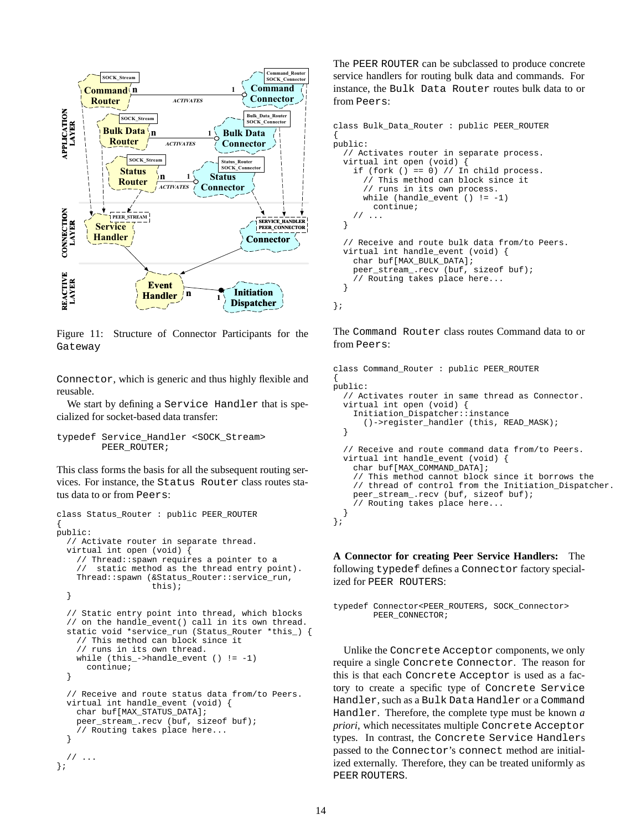

Figure 11: Structure of Connector Participants for the Gateway

Connector, which is generic and thus highly flexible and reusable.

We start by defining a Service Handler that is specialized for socket-based data transfer:

```
typedef Service_Handler <SOCK_Stream>
        PEER_ROUTER;
```
This class forms the basis for all the subsequent routing services. For instance, the Status Router class routes status data to or from Peers:

```
class Status_Router : public PEER_ROUTER
{
public:
  // Activate router in separate thread.
  virtual int open (void) {
    // Thread::spawn requires a pointer to a
    // static method as the thread entry point).
    Thread::spawn (&Status_Router::service_run,
                   this);
  }
  // Static entry point into thread, which blocks
  // on the handle_event() call in its own thread.
  static void *service_run (Status_Router *this_) {
    // This method can block since it
    // runs in its own thread.
    while (this_-\text{-}handle_event () != -1)continue;
  }
  // Receive and route status data from/to Peers.
  virtual int handle_event (void) {
    char buf[MAX_STATUS_DATA];
    peer_stream_.recv (buf, sizeof buf);
    // Routing takes place here...
  }
  // ...
};
```
The PEER ROUTER can be subclassed to produce concrete service handlers for routing bulk data and commands. For instance, the Bulk Data Router routes bulk data to or from Peers:

```
class Bulk_Data_Router : public PEER_ROUTER
{
public:
  // Activates router in separate process.
  virtual int open (void) {
    if (fork () == 0) // In child process.
      // This method can block since it
      // runs in its own process.
      while (handle_event () != -1)
        continue;
    // ...
  }
  // Receive and route bulk data from/to Peers.
  virtual int handle_event (void) {
    char buf[MAX_BULK_DATA];
    peer_stream_.recv (buf, sizeof buf);
    // Routing takes place here...
  }
};
```
The Command Router class routes Command data to or from Peers:

```
class Command_Router : public PEER_ROUTER
{
public:
  // Activates router in same thread as Connector.
  virtual int open (void) {
    Initiation_Dispatcher::instance
      ()->register_handler (this, READ_MASK);
  }
  // Receive and route command data from/to Peers.
  virtual int handle_event (void) {
    char buf[MAX_COMMAND_DATA];
    // This method cannot block since it borrows the
    // thread of control from the Initiation_Dispatcher.
    peer_stream_.recv (buf, sizeof buf);
    // Routing takes place here...
  }
};
```
**A Connector for creating Peer Service Handlers:** The following typedef defines a Connector factory specialized for PEER ROUTERS:

```
typedef Connector<PEER_ROUTERS, SOCK_Connector>
        PEER_CONNECTOR;
```
Unlike the Concrete Acceptor components, we only require a single Concrete Connector. The reason for this is that each Concrete Acceptor is used as a factory to create a specific type of Concrete Service Handler, such as a Bulk Data Handler or a Command Handler. Therefore, the complete type must be known *a priori*, which necessitates multiple Concrete Acceptor types. In contrast, the Concrete Service Handlers passed to the Connector's connect method are initialized externally. Therefore, they can be treated uniformly as PEER ROUTERS.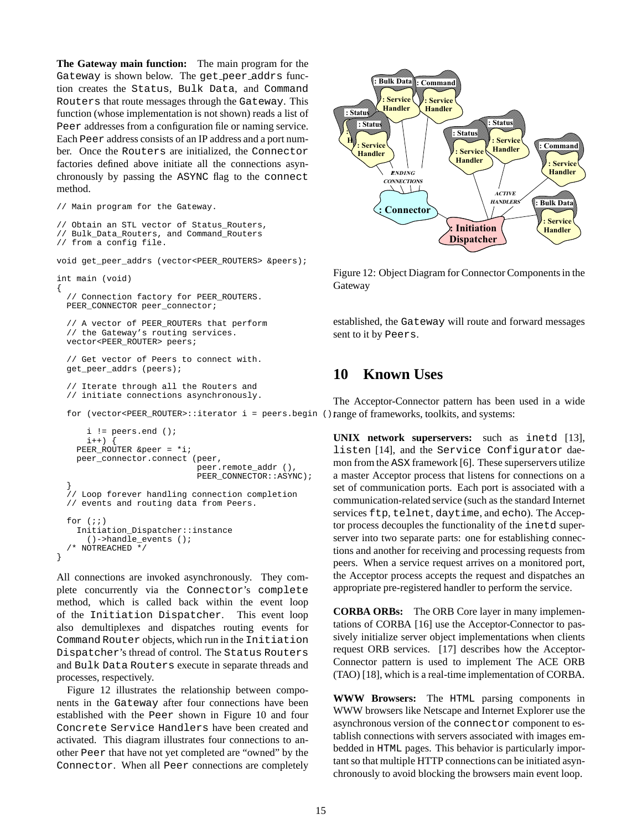**The Gateway main function:** The main program for the Gateway is shown below. The get peer addrs function creates the Status, Bulk Data, and Command Routers that route messages through the Gateway. This function (whose implementation is not shown) reads a list of Peer addresses from a configuration file or naming service. Each Peer address consists of an IP address and a port number. Once the Routers are initialized, the Connector factories defined above initiate all the connections asynchronously by passing the ASYNC flag to the connect method.

// Main program for the Gateway.

```
// Obtain an STL vector of Status_Routers,
```

```
// Bulk_Data_Routers, and Command_Routers
```
// from a config file.

void get\_peer\_addrs (vector<PEER\_ROUTERS> &peers);

```
int main (void)
```
{

}

// Connection factory for PEER\_ROUTERS. PEER\_CONNECTOR peer\_connector;

```
// A vector of PEER_ROUTERs that perform
// the Gateway's routing services.
vector<PEER_ROUTER> peers;
```

```
// Get vector of Peers to connect with.
get_peer_addrs (peers);
```
// Iterate through all the Routers and // initiate connections asynchronously.

```
for (vector<PEER_ROUTER>::iterator i = peers.begin () range of frameworks, toolkits, and systems:
```

```
i != peers.end ();
    i^{++}) {
 PEER_ROUTER &peer = *i;
 peer_connector.connect (peer,
                          peer.remote_addr (),
                           PEER_CONNECTOR::ASYNC);
}
// Loop forever handling connection completion
// events and routing data from Peers.
for (i; j)Initiation_Dispatcher::instance
    ()->handle_events ();
/* NOTREACHED */
```
All connections are invoked asynchronously. They complete concurrently via the Connector's complete method, which is called back within the event loop of the Initiation Dispatcher. This event loop also demultiplexes and dispatches routing events for Command Router objects, which run in the Initiation Dispatcher's thread of control. The Status Routers and Bulk Data Routers execute in separate threads and processes, respectively.

Figure 12 illustrates the relationship between components in the Gateway after four connections have been established with the Peer shown in Figure 10 and four Concrete Service Handlers have been created and activated. This diagram illustrates four connections to another Peer that have not yet completed are "owned" by the Connector. When all Peer connections are completely



Figure 12: Object Diagram for Connector Components in the Gateway

established, the Gateway will route and forward messages sent to it by Peers.

## **10 Known Uses**

The Acceptor-Connector pattern has been used in a wide

**UNIX network superservers:** such as inetd [13], listen [14], and the Service Configurator daemon from the ASX framework [6]. These superservers utilize a master Acceptor process that listens for connections on a set of communication ports. Each port is associated with a communication-related service (such as the standard Internet services ftp, telnet, daytime, and echo). The Acceptor process decouples the functionality of the inetd superserver into two separate parts: one for establishing connections and another for receiving and processing requests from peers. When a service request arrives on a monitored port, the Acceptor process accepts the request and dispatches an appropriate pre-registered handler to perform the service.

**CORBA ORBs:** The ORB Core layer in many implementations of CORBA [16] use the Acceptor-Connector to passively initialize server object implementations when clients request ORB services. [17] describes how the Acceptor-Connector pattern is used to implement The ACE ORB (TAO) [18], which is a real-time implementation of CORBA.

**WWW Browsers:** The HTML parsing components in WWW browsers like Netscape and Internet Explorer use the asynchronous version of the connector component to establish connections with servers associated with images embedded in HTML pages. This behavior is particularly important so that multiple HTTP connections can be initiated asynchronously to avoid blocking the browsers main event loop.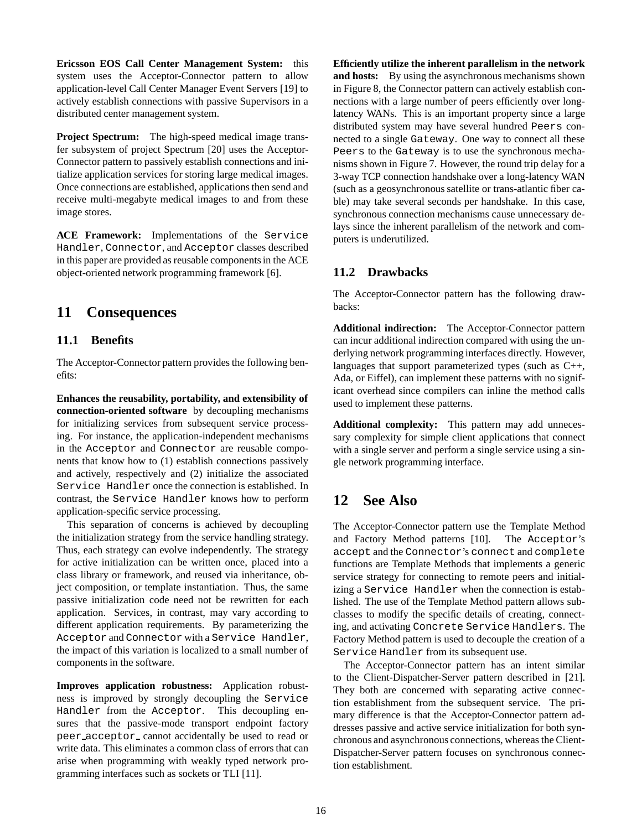**Ericsson EOS Call Center Management System:** this system uses the Acceptor-Connector pattern to allow application-level Call Center Manager Event Servers [19] to actively establish connections with passive Supervisors in a distributed center management system.

**Project Spectrum:** The high-speed medical image transfer subsystem of project Spectrum [20] uses the Acceptor-Connector pattern to passively establish connections and initialize application services for storing large medical images. Once connections are established, applications then send and receive multi-megabyte medical images to and from these image stores.

**ACE Framework:** Implementations of the Service Handler, Connector, and Acceptor classes described in this paper are provided as reusable components in the ACE object-oriented network programming framework [6].

# **11 Consequences**

### **11.1 Benefits**

The Acceptor-Connector pattern provides the following benefits:

**Enhances the reusability, portability, and extensibility of connection-oriented software** by decoupling mechanisms for initializing services from subsequent service processing. For instance, the application-independent mechanisms in the Acceptor and Connector are reusable components that know how to (1) establish connections passively and actively, respectively and (2) initialize the associated Service Handler once the connection is established. In contrast, the Service Handler knows how to perform application-specific service processing.

This separation of concerns is achieved by decoupling the initialization strategy from the service handling strategy. Thus, each strategy can evolve independently. The strategy for active initialization can be written once, placed into a class library or framework, and reused via inheritance, object composition, or template instantiation. Thus, the same passive initialization code need not be rewritten for each application. Services, in contrast, may vary according to different application requirements. By parameterizing the Acceptor and Connector with a Service Handler, the impact of this variation is localized to a small number of components in the software.

**Improves application robustness:** Application robustness is improved by strongly decoupling the Service Handler from the Acceptor. This decoupling ensures that the passive-mode transport endpoint factory peer acceptor cannot accidentally be used to read or write data. This eliminates a common class of errors that can arise when programming with weakly typed network programming interfaces such as sockets or TLI [11].

**Efficiently utilize the inherent parallelism in the network and hosts:** By using the asynchronous mechanisms shown in Figure 8, the Connector pattern can actively establish connections with a large number of peers efficiently over longlatency WANs. This is an important property since a large distributed system may have several hundred Peers connected to a single Gateway. One way to connect all these Peers to the Gateway is to use the synchronous mechanisms shown in Figure 7. However, the round trip delay for a 3-way TCP connection handshake over a long-latency WAN (such as a geosynchronous satellite or trans-atlantic fiber cable) may take several seconds per handshake. In this case, synchronous connection mechanisms cause unnecessary delays since the inherent parallelism of the network and computers is underutilized.

### **11.2 Drawbacks**

The Acceptor-Connector pattern has the following drawbacks:

**Additional indirection:** The Acceptor-Connector pattern can incur additional indirection compared with using the underlying network programming interfaces directly. However, languages that support parameterized types (such as C++, Ada, or Eiffel), can implement these patterns with no significant overhead since compilers can inline the method calls used to implement these patterns.

**Additional complexity:** This pattern may add unnecessary complexity for simple client applications that connect with a single server and perform a single service using a single network programming interface.

# **12 See Also**

The Acceptor-Connector pattern use the Template Method and Factory Method patterns [10]. The Acceptor's accept and the Connector's connect and complete functions are Template Methods that implements a generic service strategy for connecting to remote peers and initializing a Service Handler when the connection is established. The use of the Template Method pattern allows subclasses to modify the specific details of creating, connecting, and activating Concrete Service Handlers. The Factory Method pattern is used to decouple the creation of a Service Handler from its subsequent use.

The Acceptor-Connector pattern has an intent similar to the Client-Dispatcher-Server pattern described in [21]. They both are concerned with separating active connection establishment from the subsequent service. The primary difference is that the Acceptor-Connector pattern addresses passive and active service initialization for both synchronous and asynchronous connections, whereas the Client-Dispatcher-Server pattern focuses on synchronous connection establishment.